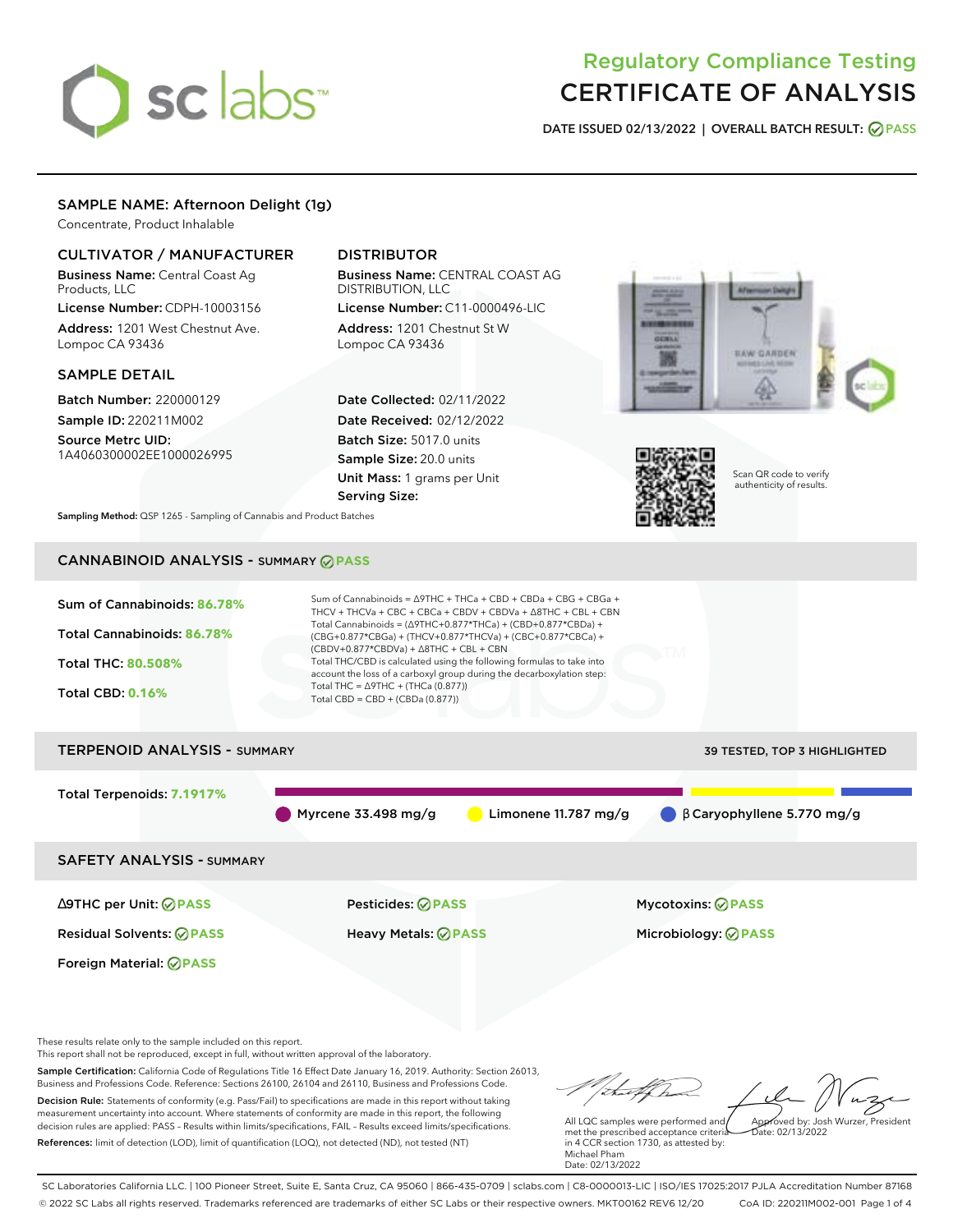# sclabs<sup>\*</sup>

# Regulatory Compliance Testing CERTIFICATE OF ANALYSIS

**DATE ISSUED 02/13/2022 | OVERALL BATCH RESULT: PASS**

# SAMPLE NAME: Afternoon Delight (1g)

Concentrate, Product Inhalable

# CULTIVATOR / MANUFACTURER

Business Name: Central Coast Ag Products, LLC

License Number: CDPH-10003156 Address: 1201 West Chestnut Ave. Lompoc CA 93436

# SAMPLE DETAIL

Batch Number: 220000129 Sample ID: 220211M002

Source Metrc UID: 1A4060300002EE1000026995

# DISTRIBUTOR

Business Name: CENTRAL COAST AG DISTRIBUTION, LLC

License Number: C11-0000496-LIC Address: 1201 Chestnut St W Lompoc CA 93436

Date Collected: 02/11/2022 Date Received: 02/12/2022 Batch Size: 5017.0 units Sample Size: 20.0 units Unit Mass: 1 grams per Unit Serving Size:





Scan QR code to verify authenticity of results.

**Sampling Method:** QSP 1265 - Sampling of Cannabis and Product Batches

# CANNABINOID ANALYSIS - SUMMARY **PASS**



These results relate only to the sample included on this report.

This report shall not be reproduced, except in full, without written approval of the laboratory.

Sample Certification: California Code of Regulations Title 16 Effect Date January 16, 2019. Authority: Section 26013, Business and Professions Code. Reference: Sections 26100, 26104 and 26110, Business and Professions Code. Decision Rule: Statements of conformity (e.g. Pass/Fail) to specifications are made in this report without taking measurement uncertainty into account. Where statements of conformity are made in this report, the following

References: limit of detection (LOD), limit of quantification (LOQ), not detected (ND), not tested (NT)

decision rules are applied: PASS – Results within limits/specifications, FAIL – Results exceed limits/specifications.

Approved by: Josh Wurzer, President

 $\frac{1}{2}$ ate: 02/13/2022

All LQC samples were performed and met the prescribed acceptance criteria in 4 CCR section 1730, as attested by: Michael Pham Date: 02/13/2022

SC Laboratories California LLC. | 100 Pioneer Street, Suite E, Santa Cruz, CA 95060 | 866-435-0709 | sclabs.com | C8-0000013-LIC | ISO/IES 17025:2017 PJLA Accreditation Number 87168 © 2022 SC Labs all rights reserved. Trademarks referenced are trademarks of either SC Labs or their respective owners. MKT00162 REV6 12/20 CoA ID: 220211M002-001 Page 1 of 4